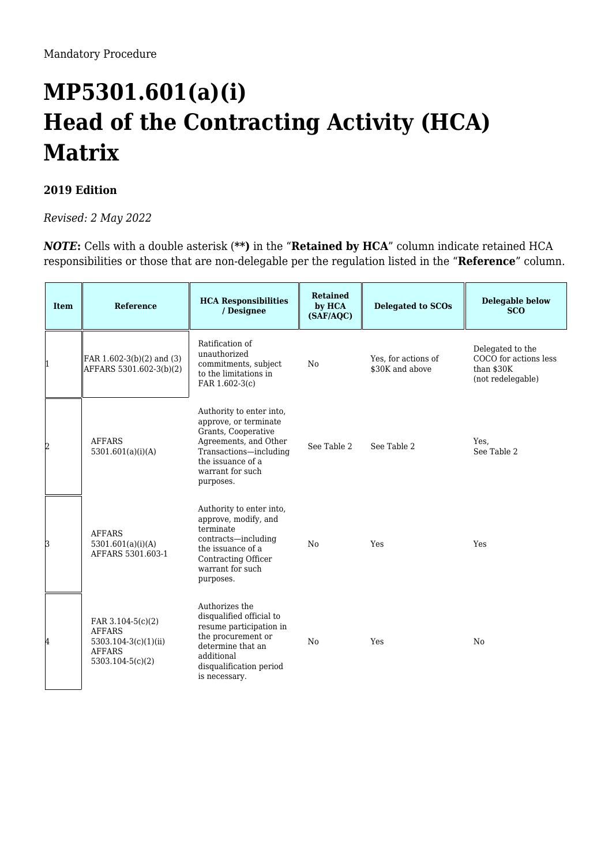## **MP5301.601(a)(i) Head of the Contracting Activity (HCA) Matrix**

## **2019 Edition**

*Revised: 2 May 2022*

*NOTE*: Cells with a double asterisk (\*\*) in the "Retained by HCA" column indicate retained HCA responsibilities or those that are non-delegable per the regulation listed in the "**Reference**" column.

| <b>Item</b> | <b>Reference</b>                                                                                    | <b>HCA Responsibilities</b><br>/ Designee                                                                                                                                         | <b>Retained</b><br>by HCA<br>(SAF/AQC) | <b>Delegated to SCOs</b>               | <b>Delegable below</b><br><b>SCO</b>                                          |
|-------------|-----------------------------------------------------------------------------------------------------|-----------------------------------------------------------------------------------------------------------------------------------------------------------------------------------|----------------------------------------|----------------------------------------|-------------------------------------------------------------------------------|
| $\vert$ 1   | $\text{FAR } 1.602 - 3(b)(2)$ and (3)<br>AFFARS 5301.602-3(b)(2)                                    | Ratification of<br>unauthorized<br>commitments, subject<br>to the limitations in<br>FAR 1.602-3(c)                                                                                | No                                     | Yes, for actions of<br>\$30K and above | Delegated to the<br>COCO for actions less<br>than $$30K$<br>(not redelegable) |
| 2           | <b>AFFARS</b><br>5301.601(a)(i)(A)                                                                  | Authority to enter into,<br>approve, or terminate<br>Grants, Cooperative<br>Agreements, and Other<br>Transactions-including<br>the issuance of a<br>warrant for such<br>purposes. | See Table 2                            | See Table 2                            | Yes,<br>See Table 2                                                           |
| 3           | <b>AFFARS</b><br>5301.601(a)(i)(A)<br>AFFARS 5301.603-1                                             | Authority to enter into,<br>approve, modify, and<br>terminate<br>contracts—including<br>the issuance of a<br>Contracting Officer<br>warrant for such<br>purposes.                 | No                                     | Yes                                    | Yes                                                                           |
| 4           | FAR 3.104-5(c)(2)<br><b>AFFARS</b><br>5303.104-3(c)(1)(ii)<br><b>AFFARS</b><br>$5303.104 - 5(c)(2)$ | Authorizes the<br>disqualified official to<br>resume participation in<br>the procurement or<br>determine that an<br>additional<br>disqualification period<br>is necessary.        | N <sub>0</sub>                         | Yes                                    | N <sub>0</sub>                                                                |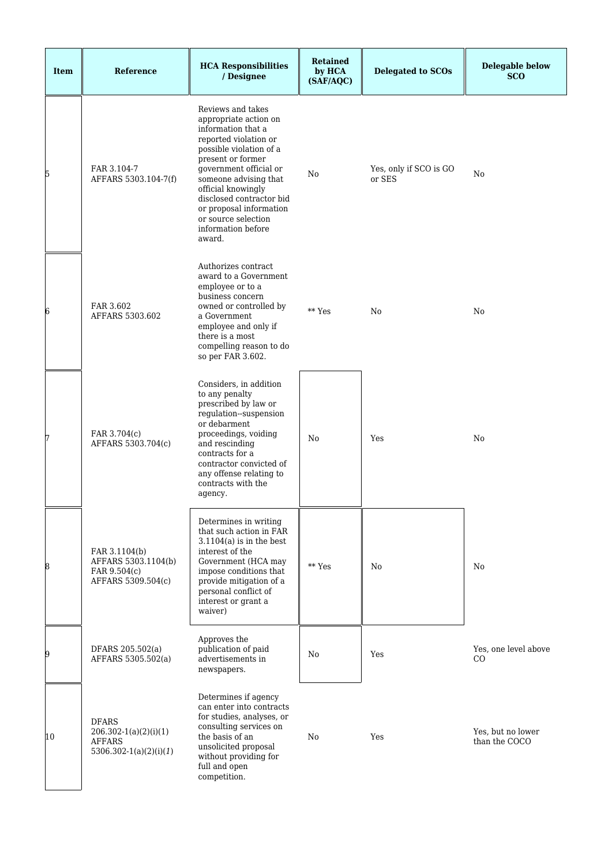| Item | Reference                                                                              | <b>HCA Responsibilities</b><br>/ Designee                                                                                                                                                                                                                                                                                        | <b>Retained</b><br>by HCA<br>(SAF/AQC) | <b>Delegated to SCOs</b>         | <b>Delegable below</b><br><b>SCO</b> |
|------|----------------------------------------------------------------------------------------|----------------------------------------------------------------------------------------------------------------------------------------------------------------------------------------------------------------------------------------------------------------------------------------------------------------------------------|----------------------------------------|----------------------------------|--------------------------------------|
| 5    | FAR 3.104-7<br>AFFARS 5303.104-7(f)                                                    | Reviews and takes<br>appropriate action on<br>information that a<br>reported violation or<br>possible violation of a<br>present or former<br>government official or<br>someone advising that<br>official knowingly<br>disclosed contractor bid<br>or proposal information<br>or source selection<br>information before<br>award. | No                                     | Yes, only if SCO is GO<br>or SES | No                                   |
| 6    | FAR 3.602<br>AFFARS 5303.602                                                           | Authorizes contract<br>award to a Government<br>employee or to a<br>business concern<br>owned or controlled by<br>a Government<br>employee and only if<br>there is a most<br>compelling reason to do<br>so per FAR 3.602.                                                                                                        | ** Yes                                 | No                               | No                                   |
| 17   | FAR 3.704(c)<br>AFFARS 5303.704(c)                                                     | Considers, in addition<br>to any penalty<br>prescribed by law or<br>regulation--suspension<br>or debarment<br>proceedings, voiding<br>and rescinding<br>contracts for a<br>contractor convicted of<br>any offense relating to<br>contracts with the<br>agency.                                                                   | No                                     | Yes                              | No                                   |
| 8    | FAR 3.1104(b)<br>AFFARS 5303.1104(b)<br>FAR 9.504(c)<br>AFFARS 5309.504(c)             | Determines in writing<br>that such action in FAR<br>$3.1104(a)$ is in the best<br>interest of the<br>Government (HCA may<br>impose conditions that<br>provide mitigation of a<br>personal conflict of<br>interest or grant a<br>waiver)                                                                                          | $**$ Yes                               | No                               | N <sub>0</sub>                       |
| 9    | DFARS 205.502(a)<br>AFFARS 5305.502(a)                                                 | Approves the<br>publication of paid<br>advertisements in<br>newspapers.                                                                                                                                                                                                                                                          | No                                     | Yes                              | Yes, one level above<br>CO           |
| 10   | <b>DFARS</b><br>$206.302 - 1(a)(2)(i)(1)$<br><b>AFFARS</b><br>$5306.302-1(a)(2)(i)(1)$ | Determines if agency<br>can enter into contracts<br>for studies, analyses, or<br>consulting services on<br>the basis of an<br>unsolicited proposal<br>without providing for<br>full and open<br>competition.                                                                                                                     | No                                     | Yes                              | Yes, but no lower<br>than the COCO   |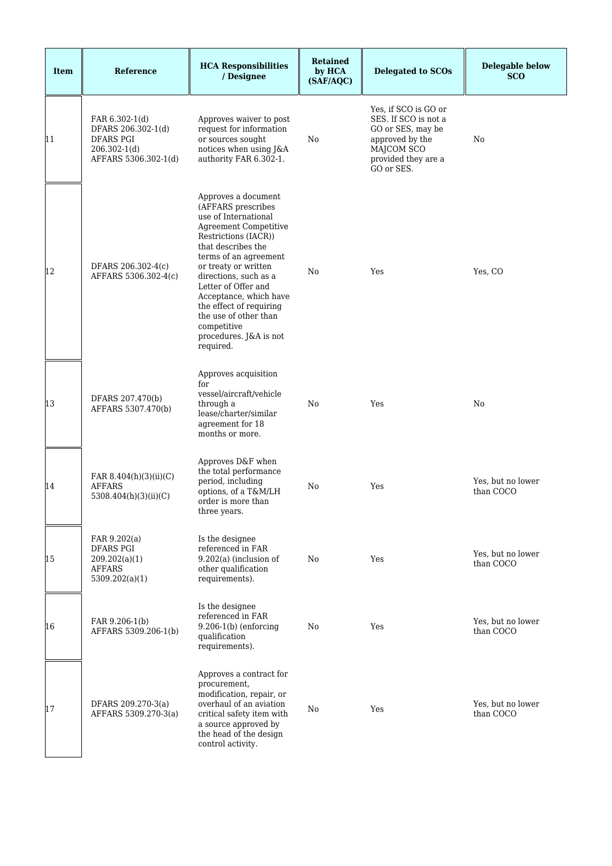| <b>Item</b> | <b>Reference</b>                                                                              | <b>HCA Responsibilities</b><br>/ Designee                                                                                                                                                                                                                                                                                                                                            | <b>Retained</b><br>by HCA<br>(SAF/AQC) | <b>Delegated to SCOs</b>                                                                                                                | <b>Delegable below</b><br><b>SCO</b> |
|-------------|-----------------------------------------------------------------------------------------------|--------------------------------------------------------------------------------------------------------------------------------------------------------------------------------------------------------------------------------------------------------------------------------------------------------------------------------------------------------------------------------------|----------------------------------------|-----------------------------------------------------------------------------------------------------------------------------------------|--------------------------------------|
| 11          | FAR 6.302-1(d)<br>DFARS 206.302-1(d)<br>DFARS PGI<br>$206.302 - 1(d)$<br>AFFARS 5306.302-1(d) | Approves waiver to post<br>request for information<br>or sources sought<br>notices when using J&A<br>authority FAR 6.302-1.                                                                                                                                                                                                                                                          | No                                     | Yes, if SCO is GO or<br>SES. If SCO is not a<br>GO or SES, may be<br>approved by the<br>MAJCOM SCO<br>provided they are a<br>GO or SES. | No                                   |
| 12          | DFARS 206.302-4(c)<br>AFFARS 5306.302-4(c)                                                    | Approves a document<br>(AFFARS prescribes<br>use of International<br><b>Agreement Competitive</b><br>Restrictions (IACR))<br>that describes the<br>terms of an agreement<br>or treaty or written<br>directions, such as a<br>Letter of Offer and<br>Acceptance, which have<br>the effect of requiring<br>the use of other than<br>competitive<br>procedures. J&A is not<br>required. | No                                     | Yes                                                                                                                                     | Yes, CO                              |
| 13          | DFARS 207.470(b)<br>AFFARS 5307.470(b)                                                        | Approves acquisition<br>for<br>vessel/aircraft/vehicle<br>through a<br>lease/charter/similar<br>agreement for 18<br>months or more.                                                                                                                                                                                                                                                  | No                                     | Yes                                                                                                                                     | No                                   |
| 14          | FAR 8.404(h)(3)(ii)(C)<br><b>AFFARS</b><br>5308.404(h)(3)(ii)(C)                              | Approves D&F when<br>the total performance<br>period, including<br>options, of a T&M/LH<br>order is more than<br>three years.                                                                                                                                                                                                                                                        | No                                     | Yes                                                                                                                                     | Yes, but no lower<br>than COCO       |
| 15          | FAR 9.202(a)<br><b>DFARS PGI</b><br>209.202(a)(1)<br><b>AFFARS</b><br>5309.202(a)(1)          | Is the designee<br>referenced in FAR<br>$9.202(a)$ (inclusion of<br>other qualification<br>requirements).                                                                                                                                                                                                                                                                            | No                                     | Yes                                                                                                                                     | Yes, but no lower<br>than COCO       |
| 16          | FAR 9.206-1(b)<br>AFFARS 5309.206-1(b)                                                        | Is the designee<br>referenced in FAR<br>$9.206-1(b)$ (enforcing<br>qualification<br>requirements).                                                                                                                                                                                                                                                                                   | No                                     | Yes                                                                                                                                     | Yes, but no lower<br>than COCO       |
| 17          | DFARS 209.270-3(a)<br>AFFARS 5309.270-3(a)                                                    | Approves a contract for<br>procurement,<br>modification, repair, or<br>overhaul of an aviation<br>critical safety item with<br>a source approved by<br>the head of the design<br>control activity.                                                                                                                                                                                   | No                                     | Yes                                                                                                                                     | Yes, but no lower<br>than COCO       |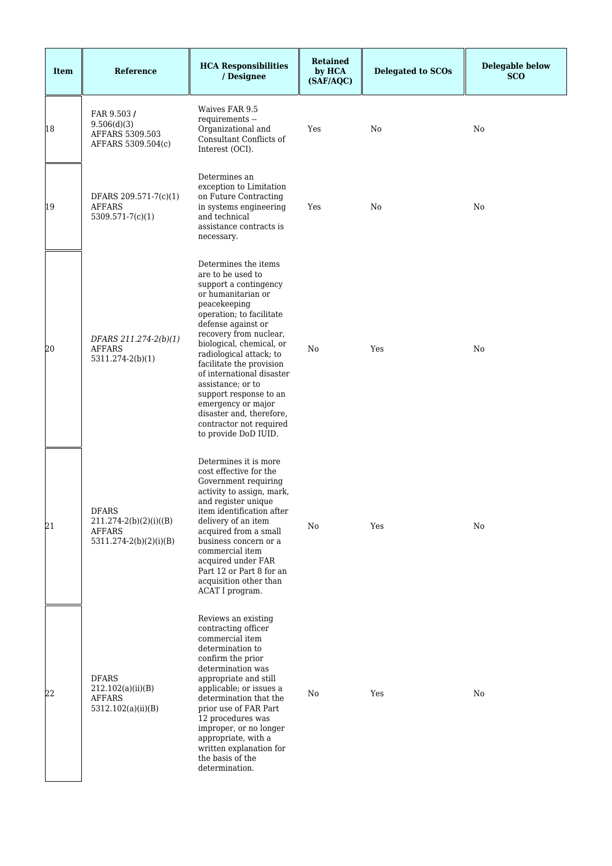| <b>Item</b> | Reference                                                                              | <b>HCA Responsibilities</b><br>/ Designee                                                                                                                                                                                                                                                                                                                                                                                                                | <b>Retained</b><br>by HCA<br>(SAF/AQC) | <b>Delegated to SCOs</b> | <b>Delegable below</b><br><b>SCO</b> |
|-------------|----------------------------------------------------------------------------------------|----------------------------------------------------------------------------------------------------------------------------------------------------------------------------------------------------------------------------------------------------------------------------------------------------------------------------------------------------------------------------------------------------------------------------------------------------------|----------------------------------------|--------------------------|--------------------------------------|
| 18          | FAR 9.503/<br>9.506(d)(3)<br>AFFARS 5309.503<br>AFFARS 5309.504(c)                     | Waives FAR 9.5<br>requirements --<br>Organizational and<br>Consultant Conflicts of<br>Interest (OCI).                                                                                                                                                                                                                                                                                                                                                    | Yes                                    | No                       | No                                   |
| 19          | DFARS 209.571-7(c)(1)<br><b>AFFARS</b><br>$5309.571 - 7(c)(1)$                         | Determines an<br>exception to Limitation<br>on Future Contracting<br>in systems engineering<br>and technical<br>assistance contracts is<br>necessary.                                                                                                                                                                                                                                                                                                    | Yes                                    | No                       | No                                   |
| 20          | DFARS 211.274-2(b)(1)<br><b>AFFARS</b><br>5311.274-2(b)(1)                             | Determines the items<br>are to be used to<br>support a contingency<br>or humanitarian or<br>peacekeeping<br>operation; to facilitate<br>defense against or<br>recovery from nuclear,<br>biological, chemical, or<br>radiological attack; to<br>facilitate the provision<br>of international disaster<br>assistance; or to<br>support response to an<br>emergency or major<br>disaster and, therefore,<br>contractor not required<br>to provide DoD IUID. | N <sub>0</sub>                         | Yes                      | No                                   |
| 21          | <b>DFARS</b><br>$211.274-2(b)(2)(i)((B))$<br><b>AFFARS</b><br>$5311.274-2(b)(2)(i)(B)$ | Determines it is more<br>cost effective for the<br>Government requiring<br>activity to assign, mark,<br>and register unique<br>item identification after<br>delivery of an item<br>acquired from a small<br>business concern or a<br>commercial item<br>acquired under FAR<br>Part 12 or Part 8 for an<br>acquisition other than<br>ACAT I program.                                                                                                      | No                                     | Yes                      | No                                   |
| 22          | <b>DFARS</b><br>212.102(a)(ii)(B)<br><b>AFFARS</b><br>5312.102(a)(ii)(B)               | Reviews an existing<br>contracting officer<br>commercial item<br>determination to<br>confirm the prior<br>determination was<br>appropriate and still<br>applicable; or issues a<br>determination that the<br>prior use of FAR Part<br>12 procedures was<br>improper, or no longer<br>appropriate, with a<br>written explanation for<br>the basis of the<br>determination.                                                                                | No                                     | Yes                      | No                                   |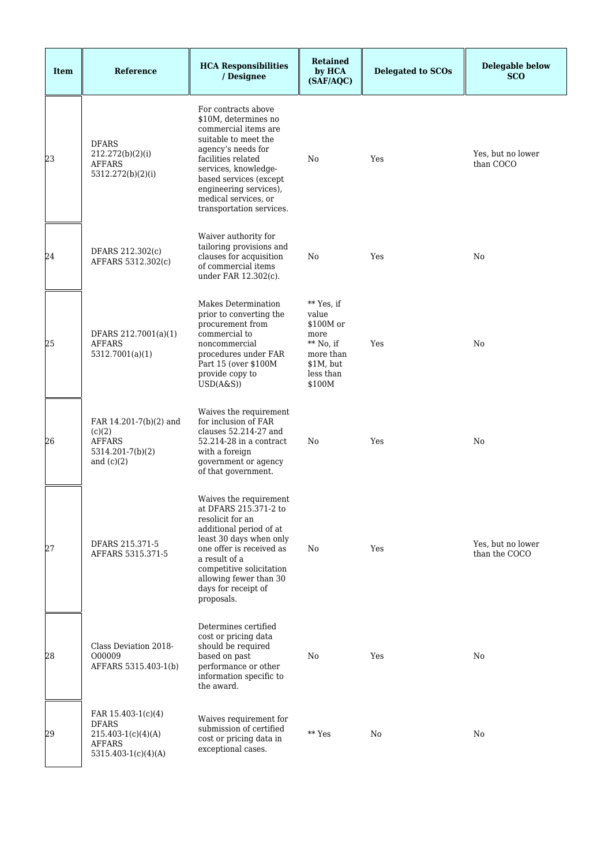| <b>Item</b> | Reference                                                                                            | <b>HCA Responsibilities</b><br>/ Designee                                                                                                                                                                                                                               | <b>Retained</b><br>by HCA<br>(SAF/AQC)                                                                   | <b>Delegated to SCOs</b> | <b>Delegable below</b><br><b>SCO</b> |
|-------------|------------------------------------------------------------------------------------------------------|-------------------------------------------------------------------------------------------------------------------------------------------------------------------------------------------------------------------------------------------------------------------------|----------------------------------------------------------------------------------------------------------|--------------------------|--------------------------------------|
| 23          | <b>DFARS</b><br>212.272(b)(2)(i)<br><b>AFFARS</b><br>5312.272(b)(2)(i)                               | For contracts above<br>\$10M, determines no<br>commercial items are<br>suitable to meet the<br>agency's needs for<br>facilities related<br>services, knowledge-<br>based services (except<br>engineering services),<br>medical services, or<br>transportation services. | No                                                                                                       | Yes                      | Yes, but no lower<br>than COCO       |
| 24          | DFARS 212.302(c)<br>AFFARS 5312.302(c)                                                               | Waiver authority for<br>tailoring provisions and<br>clauses for acquisition<br>of commercial items<br>under FAR 12.302(c).                                                                                                                                              | No                                                                                                       | Yes                      | No                                   |
| 25          | DFARS 212.7001(a)(1)<br><b>AFFARS</b><br>5312.7001(a)(1)                                             | Makes Determination<br>prior to converting the<br>procurement from<br>commercial to<br>noncommercial<br>procedures under FAR<br>Part 15 (over \$100M<br>provide copy to<br>USD(A&S))                                                                                    | ** Yes, if<br>value<br>\$100M or<br>more<br>$**$ No, if<br>more than<br>\$1M, but<br>less than<br>\$100M | Yes                      | No                                   |
| 26          | FAR 14.201-7(b)(2) and<br>(c)(2)<br><b>AFFARS</b><br>5314.201-7(b)(2)<br>and $(c)(2)$                | Waives the requirement<br>for inclusion of FAR<br>clauses 52.214-27 and<br>$52.214 - 28$ in a contract<br>with a foreign<br>government or agency<br>of that government.                                                                                                 | No                                                                                                       | Yes                      | No                                   |
| 27          | DFARS 215.371-5<br>AFFARS 5315.371-5                                                                 | Waives the requirement<br>at DFARS 215.371-2 to<br>resolicit for an<br>additional period of at<br>least 30 days when only<br>one offer is received as<br>a result of a<br>competitive solicitation<br>allowing fewer than 30<br>days for receipt of<br>proposals.       | No                                                                                                       | Yes                      | Yes, but no lower<br>than the COCO   |
| 28          | Class Deviation 2018-<br>O00009<br>AFFARS 5315.403-1(b)                                              | Determines certified<br>cost or pricing data<br>should be required<br>based on past<br>performance or other<br>information specific to<br>the award.                                                                                                                    | No                                                                                                       | Yes                      | No                                   |
| 29          | FAR 15.403-1(c)(4)<br><b>DFARS</b><br>$215.403-1(c)(4)(A)$<br><b>AFFARS</b><br>$5315.403-1(c)(4)(A)$ | Waives requirement for<br>submission of certified<br>cost or pricing data in<br>exceptional cases.                                                                                                                                                                      | ** Yes                                                                                                   | No                       | No                                   |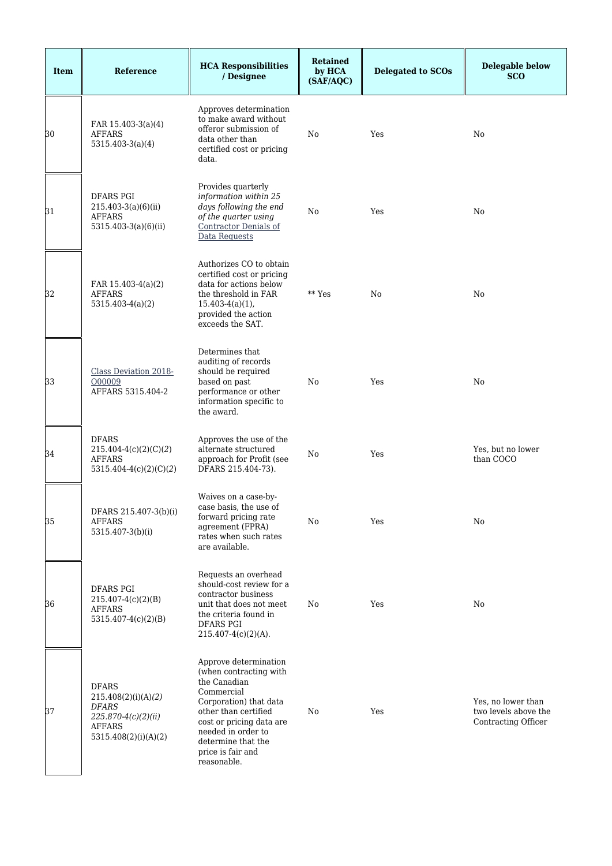| <b>Item</b> | Reference                                                                                                      | <b>HCA Responsibilities</b><br>/ Designee                                                                                                                                                                                                   | <b>Retained</b><br>by HCA<br>(SAF/AQC) | <b>Delegated to SCOs</b> | <b>Delegable below</b><br><b>SCO</b>                              |
|-------------|----------------------------------------------------------------------------------------------------------------|---------------------------------------------------------------------------------------------------------------------------------------------------------------------------------------------------------------------------------------------|----------------------------------------|--------------------------|-------------------------------------------------------------------|
| 30          | FAR 15.403-3(a)(4)<br>AFFARS<br>$5315.403-3(a)(4)$                                                             | Approves determination<br>to make award without<br>offeror submission of<br>data other than<br>certified cost or pricing<br>data.                                                                                                           | No                                     | Yes                      | No                                                                |
| 31          | <b>DFARS PGI</b><br>$215.403-3(a)(6)(ii)$<br><b>AFFARS</b><br>5315.403-3(a)(6)(ii)                             | Provides quarterly<br>information within 25<br>days following the end<br>of the quarter using<br><b>Contractor Denials of</b><br>Data Requests                                                                                              | No                                     | Yes                      | No                                                                |
| 32          | FAR 15.403-4(a)(2)<br><b>AFFARS</b><br>$5315.403-4(a)(2)$                                                      | Authorizes CO to obtain<br>certified cost or pricing<br>data for actions below<br>the threshold in FAR<br>$15.403-4(a)(1)$ ,<br>provided the action<br>exceeds the SAT.                                                                     | ** Yes                                 | N <sub>0</sub>           | No                                                                |
| 33          | <b>Class Deviation 2018-</b><br>O00009<br>AFFARS 5315.404-2                                                    | Determines that<br>auditing of records<br>should be required<br>based on past<br>performance or other<br>information specific to<br>the award.                                                                                              | No                                     | Yes                      | No                                                                |
| 34          | <b>DFARS</b><br>$215.404-4(c)(2)(C)(2)$<br><b>AFFARS</b><br>5315.404-4(c)(2)(C)(2)                             | Approves the use of the<br>alternate structured<br>approach for Profit (see<br>DFARS 215.404-73).                                                                                                                                           | No                                     | Yes                      | Yes, but no lower<br>than COCO                                    |
| 35          | DFARS 215.407-3(b)(i)<br>AFFARS<br>5315.407-3(b)(i)                                                            | Waives on a case-by-<br>case basis, the use of<br>forward pricing rate<br>agreement (FPRA)<br>rates when such rates<br>are available.                                                                                                       | No                                     | Yes                      | No                                                                |
| 36          | <b>DFARS PGI</b><br>$215.407-4(c)(2)(B)$<br>AFFARS<br>$5315.407-4(c)(2)(B)$                                    | Requests an overhead<br>should-cost review for a<br>contractor business<br>unit that does not meet<br>the criteria found in<br>DFARS PGI<br>$215.407-4(c)(2)(A)$ .                                                                          | No                                     | Yes                      | No                                                                |
| 37          | <b>DFARS</b><br>215.408(2)(i)(A)(2)<br>DFARS<br>$225.870-4(c)(2)(ii)$<br><b>AFFARS</b><br>5315.408(2)(i)(A)(2) | Approve determination<br>(when contracting with<br>the Canadian<br>Commercial<br>Corporation) that data<br>other than certified<br>cost or pricing data are<br>needed in order to<br>determine that the<br>price is fair and<br>reasonable. | No                                     | Yes                      | Yes, no lower than<br>two levels above the<br>Contracting Officer |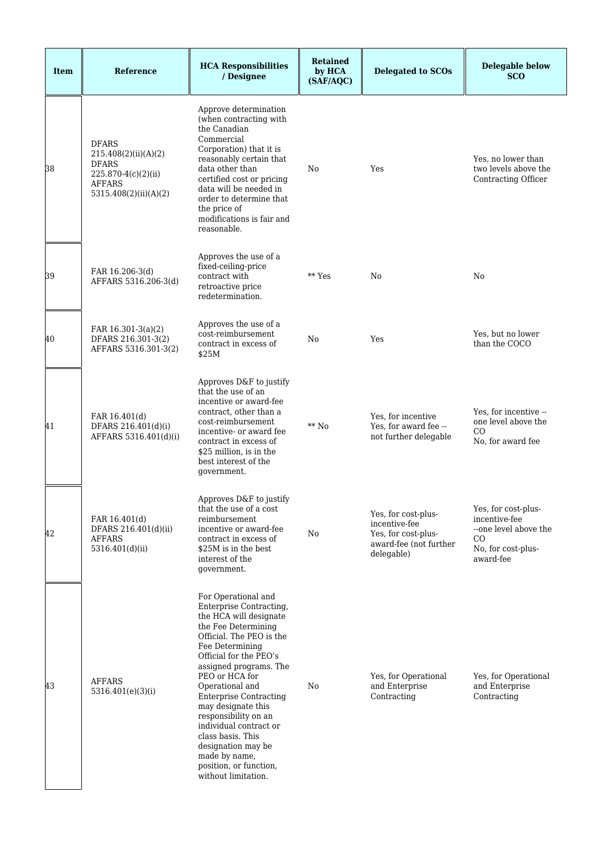| <b>Item</b> | Reference                                                                                                             | <b>HCA Responsibilities</b><br>/ Designee                                                                                                                                                                                                                                                                                                                                                                                                                     | <b>Retained</b><br>by HCA<br>(SAF/AQC) | <b>Delegated to SCOs</b>                                                                            | <b>Delegable below</b><br><b>SCO</b>                                                                    |
|-------------|-----------------------------------------------------------------------------------------------------------------------|---------------------------------------------------------------------------------------------------------------------------------------------------------------------------------------------------------------------------------------------------------------------------------------------------------------------------------------------------------------------------------------------------------------------------------------------------------------|----------------------------------------|-----------------------------------------------------------------------------------------------------|---------------------------------------------------------------------------------------------------------|
| 38          | <b>DFARS</b><br>215.408(2)(ii)(A)(2)<br><b>DFARS</b><br>225.870-4(c)(2)(ii)<br><b>AFFARS</b><br>5315.408(2)(ii)(A)(2) | Approve determination<br>(when contracting with<br>the Canadian<br>Commercial<br>Corporation) that it is<br>reasonably certain that<br>data other than<br>certified cost or pricing<br>data will be needed in<br>order to determine that<br>the price of<br>modifications is fair and<br>reasonable.                                                                                                                                                          | No                                     | Yes                                                                                                 | Yes, no lower than<br>two levels above the<br><b>Contracting Officer</b>                                |
| 39          | FAR 16.206-3(d)<br>AFFARS 5316.206-3(d)                                                                               | Approves the use of a<br>fixed-ceiling-price<br>contract with<br>retroactive price<br>redetermination.                                                                                                                                                                                                                                                                                                                                                        | ** Yes                                 | No                                                                                                  | No                                                                                                      |
| 40          | FAR $16.301-3(a)(2)$<br>DFARS 216.301-3(2)<br>AFFARS 5316.301-3(2)                                                    | Approves the use of a<br>cost-reimbursement<br>contract in excess of<br>\$25M                                                                                                                                                                                                                                                                                                                                                                                 | No                                     | Yes                                                                                                 | Yes, but no lower<br>than the COCO                                                                      |
| 41          | FAR 16.401(d)<br>DFARS 216.401(d)(i)<br>AFFARS 5316.401(d)(i)                                                         | Approves D&F to justify<br>that the use of an<br>incentive or award-fee<br>contract, other than a<br>cost-reimbursement<br>incentive- or award fee<br>contract in excess of<br>\$25 million, is in the<br>best interest of the<br>government.                                                                                                                                                                                                                 | $**$ No                                | Yes, for incentive<br>Yes, for award fee --<br>not further delegable                                | Yes, for incentive --<br>one level above the<br><sub>CO</sub><br>No, for award fee                      |
| 42          | FAR 16.401(d)<br>DFARS 216.401(d)(ii)<br><b>AFFARS</b><br>5316.401(d)(ii)                                             | Approves D&F to justify<br>that the use of a cost<br>reimbursement<br>incentive or award-fee<br>contract in excess of<br>\$25M is in the best<br>interest of the<br>government.                                                                                                                                                                                                                                                                               | No                                     | Yes, for cost-plus-<br>incentive-fee<br>Yes, for cost-plus-<br>award-fee (not further<br>delegable) | Yes, for cost-plus-<br>incentive-fee<br>--one level above the<br>CO.<br>No, for cost-plus-<br>award-fee |
| 43          | <b>AFFARS</b><br>5316.401(e)(3)(i)                                                                                    | For Operational and<br>Enterprise Contracting,<br>the HCA will designate<br>the Fee Determining<br>Official. The PEO is the<br>Fee Determining<br>Official for the PEO's<br>assigned programs. The<br>PEO or HCA for<br>Operational and<br><b>Enterprise Contracting</b><br>may designate this<br>responsibility on an<br>individual contract or<br>class basis. This<br>designation may be<br>made by name,<br>position, or function,<br>without limitation. | No                                     | Yes, for Operational<br>and Enterprise<br>Contracting                                               | Yes, for Operational<br>and Enterprise<br>Contracting                                                   |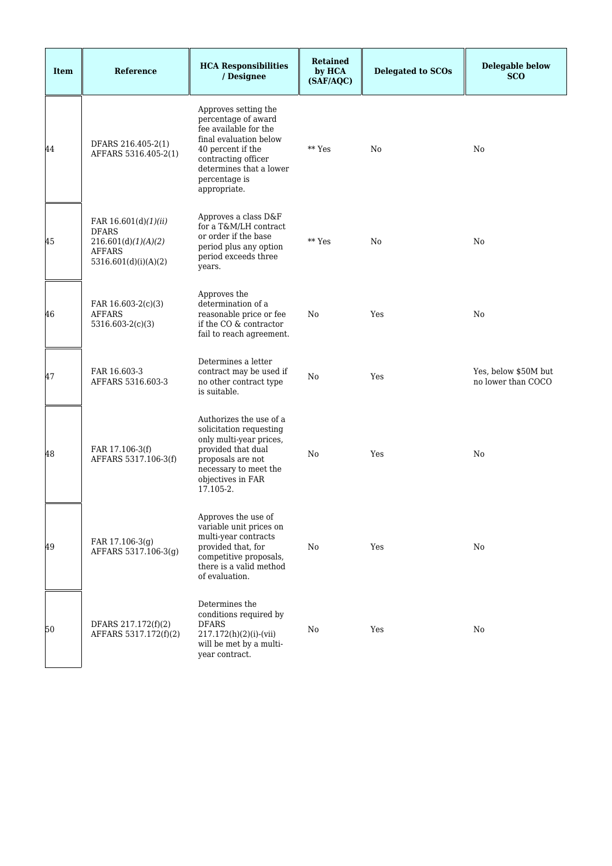| <b>Item</b> | Reference                                                                                            | <b>HCA Responsibilities</b><br>/ Designee                                                                                                                                                              | <b>Retained</b><br>by HCA<br>(SAF/AQC) | <b>Delegated to SCOs</b> | <b>Delegable below</b><br><b>SCO</b>       |
|-------------|------------------------------------------------------------------------------------------------------|--------------------------------------------------------------------------------------------------------------------------------------------------------------------------------------------------------|----------------------------------------|--------------------------|--------------------------------------------|
| 44          | DFARS 216.405-2(1)<br>AFFARS 5316.405-2(1)                                                           | Approves setting the<br>percentage of award<br>fee available for the<br>final evaluation below<br>40 percent if the<br>contracting officer<br>determines that a lower<br>percentage is<br>appropriate. | ** Yes                                 | N <sub>0</sub>           | N <sub>0</sub>                             |
| 45          | FAR 16.601(d)(1)(ii)<br><b>DFARS</b><br>216.601(d)(1)(A)(2)<br><b>AFFARS</b><br>5316.601(d)(i)(A)(2) | Approves a class D&F<br>for a T&M/LH contract<br>or order if the base<br>period plus any option<br>period exceeds three<br>years.                                                                      | ** Yes                                 | No                       | N <sub>0</sub>                             |
| 46          | FAR 16.603-2(c)(3)<br><b>AFFARS</b><br>$5316.603-2(c)(3)$                                            | Approves the<br>determination of a<br>reasonable price or fee<br>if the CO $\&$ contractor<br>fail to reach agreement.                                                                                 | No                                     | Yes                      | N <sub>0</sub>                             |
| 47          | FAR 16.603-3<br>AFFARS 5316.603-3                                                                    | Determines a letter<br>contract may be used if<br>no other contract type<br>is suitable.                                                                                                               | No                                     | Yes                      | Yes, below \$50M but<br>no lower than COCO |
| 48          | FAR 17.106-3(f)<br>AFFARS 5317.106-3(f)                                                              | Authorizes the use of a<br>solicitation requesting<br>only multi-year prices,<br>provided that dual<br>proposals are not<br>necessary to meet the<br>objectives in FAR<br>17.105-2.                    | No                                     | Yes                      | No                                         |
| 49          | FAR 17.106-3(g)<br>AFFARS 5317.106-3(g)                                                              | Approves the use of<br>variable unit prices on<br>multi-year contracts<br>provided that, for<br>competitive proposals,<br>there is a valid method<br>of evaluation.                                    | No                                     | Yes                      | No                                         |
| 50          | DFARS 217.172(f)(2)<br>AFFARS 5317.172(f)(2)                                                         | Determines the<br>conditions required by<br><b>DFARS</b><br>$217.172(h)(2)(i)-(vii)$<br>will be met by a multi-<br>year contract.                                                                      | No                                     | Yes                      | No                                         |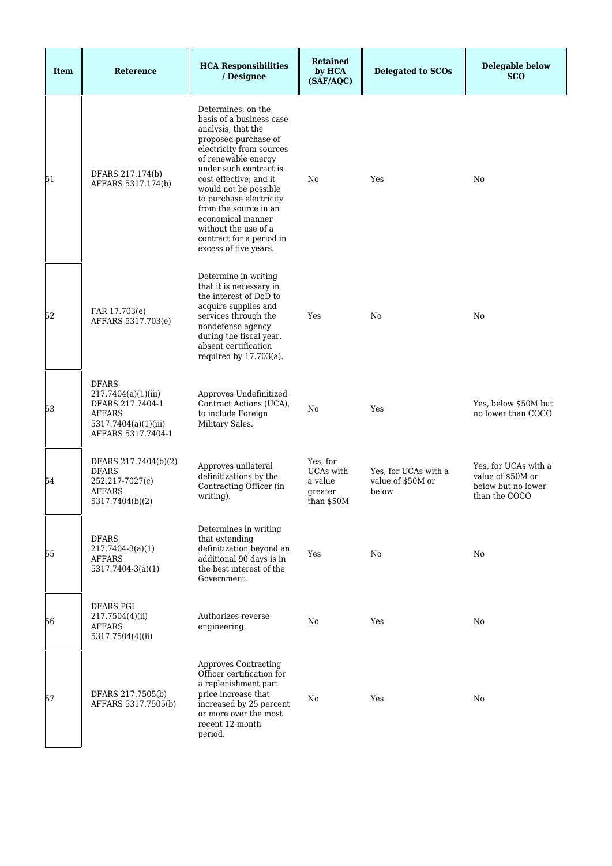| <b>Item</b> | <b>Reference</b>                                                                                                       | <b>HCA Responsibilities</b><br>/ Designee                                                                                                                                                                                                                                                                                                                                          | <b>Retained</b><br>by HCA<br>(SAF/AQC)                    | <b>Delegated to SCOs</b>                           | <b>Delegable below</b><br><b>SCO</b>                                             |
|-------------|------------------------------------------------------------------------------------------------------------------------|------------------------------------------------------------------------------------------------------------------------------------------------------------------------------------------------------------------------------------------------------------------------------------------------------------------------------------------------------------------------------------|-----------------------------------------------------------|----------------------------------------------------|----------------------------------------------------------------------------------|
| 51          | DFARS 217.174(b)<br>AFFARS 5317.174(b)                                                                                 | Determines, on the<br>basis of a business case<br>analysis, that the<br>proposed purchase of<br>electricity from sources<br>of renewable energy<br>under such contract is<br>cost effective: and it<br>would not be possible<br>to purchase electricity<br>from the source in an<br>economical manner<br>without the use of a<br>contract for a period in<br>excess of five years. | No                                                        | Yes                                                | No                                                                               |
| 52          | FAR 17.703(e)<br>AFFARS 5317.703(e)                                                                                    | Determine in writing<br>that it is necessary in<br>the interest of DoD to<br>acquire supplies and<br>services through the<br>nondefense agency<br>during the fiscal year,<br>absent certification<br>required by 17.703(a).                                                                                                                                                        | Yes                                                       | No.                                                | No                                                                               |
| 53          | <b>DFARS</b><br>217.7404(a)(1)(iii)<br>DFARS 217.7404-1<br><b>AFFARS</b><br>5317.7404(a)(1)(iii)<br>AFFARS 5317.7404-1 | Approves Undefinitized<br>Contract Actions (UCA),<br>to include Foreign<br>Military Sales.                                                                                                                                                                                                                                                                                         | N <sub>0</sub>                                            | Yes                                                | Yes, below \$50M but<br>no lower than COCO                                       |
| 54          | DFARS 217.7404(b)(2)<br><b>DFARS</b><br>252.217-7027(c)<br><b>AFFARS</b><br>5317.7404(b)(2)                            | Approves unilateral<br>definitizations by the<br>Contracting Officer (in<br>writing).                                                                                                                                                                                                                                                                                              | Yes, for<br>UCAs with<br>a value<br>greater<br>than \$50M | Yes, for UCAs with a<br>value of \$50M or<br>below | Yes, for UCAs with a<br>value of \$50M or<br>below but no lower<br>than the COCO |
| 55          | <b>DFARS</b><br>$217.7404 - 3(a)(1)$<br><b>AFFARS</b><br>$5317.7404-3(a)(1)$                                           | Determines in writing<br>that extending<br>definitization beyond an<br>additional 90 days is in<br>the best interest of the<br>Government.                                                                                                                                                                                                                                         | Yes                                                       | No                                                 | No                                                                               |
| 56          | <b>DFARS PGI</b><br>217.7504(4)(ii)<br>AFFARS<br>5317.7504(4)(ii)                                                      | Authorizes reverse<br>engineering.                                                                                                                                                                                                                                                                                                                                                 | No                                                        | Yes                                                | No                                                                               |
| 57          | DFARS 217.7505(b)<br>AFFARS 5317.7505(b)                                                                               | <b>Approves Contracting</b><br>Officer certification for<br>a replenishment part<br>price increase that<br>increased by 25 percent<br>or more over the most<br>recent 12-month<br>period.                                                                                                                                                                                          | No                                                        | Yes                                                | No                                                                               |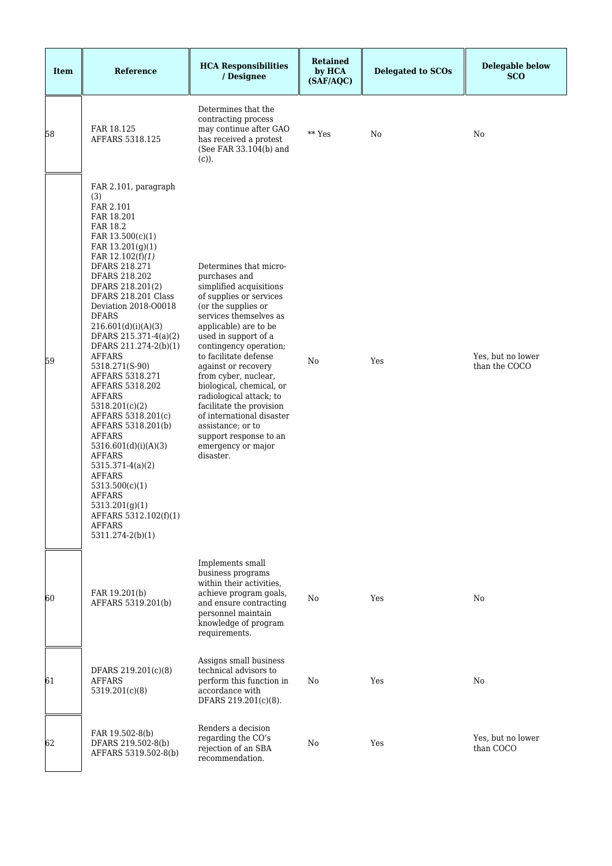| <b>Item</b> | Reference                                                                                                                                                                                                                                                                                                                                                                                                                                                                                                                                                                                                                                                                                      | <b>HCA Responsibilities</b><br>/ Designee                                                                                                                                                                                                                                                                                                                                                                                                                                                           | <b>Retained</b><br>by HCA<br>(SAF/AQC) | <b>Delegated to SCOs</b> | <b>Delegable below</b><br><b>SCO</b> |
|-------------|------------------------------------------------------------------------------------------------------------------------------------------------------------------------------------------------------------------------------------------------------------------------------------------------------------------------------------------------------------------------------------------------------------------------------------------------------------------------------------------------------------------------------------------------------------------------------------------------------------------------------------------------------------------------------------------------|-----------------------------------------------------------------------------------------------------------------------------------------------------------------------------------------------------------------------------------------------------------------------------------------------------------------------------------------------------------------------------------------------------------------------------------------------------------------------------------------------------|----------------------------------------|--------------------------|--------------------------------------|
| 58          | FAR 18.125<br>AFFARS 5318.125                                                                                                                                                                                                                                                                                                                                                                                                                                                                                                                                                                                                                                                                  | Determines that the<br>contracting process<br>may continue after GAO<br>has received a protest<br>(See FAR 33.104(b) and<br>$(c)$ ).                                                                                                                                                                                                                                                                                                                                                                | ** Yes                                 | No                       | No                                   |
| 59          | FAR 2.101, paragraph<br>(3)<br>FAR 2.101<br>FAR 18.201<br>FAR 18.2<br>FAR 13.500(c)(1)<br>FAR $13.201(g)(1)$<br>FAR $12.102(f)(1)$<br>DFARS 218.271<br>DFARS 218.202<br>DFARS 218.201(2)<br>DFARS 218.201 Class<br>Deviation 2018-O0018<br><b>DFARS</b><br>216.601(d)(i)(A)(3)<br>DFARS 215.371-4(a)(2)<br>DFARS 211.274-2(b)(1)<br>AFFARS<br>5318.271(S-90)<br>AFFARS 5318.271<br>AFFARS 5318.202<br><b>AFFARS</b><br>5318.201(c)(2)<br>AFFARS 5318.201(c)<br>AFFARS 5318.201(b)<br><b>AFFARS</b><br>5316.601(d)(i)(A)(3)<br>AFFARS<br>$5315.371-4(a)(2)$<br><b>AFFARS</b><br>5313.500(c)(1)<br><b>AFFARS</b><br>5313.201(g)(1)<br>AFFARS 5312.102(f)(1)<br><b>AFFARS</b><br>5311.274-2(b)(1) | Determines that micro-<br>purchases and<br>simplified acquisitions<br>of supplies or services<br>(or the supplies or<br>services themselves as<br>applicable) are to be<br>used in support of a<br>contingency operation;<br>to facilitate defense<br>against or recovery<br>from cyber, nuclear,<br>biological, chemical, or<br>radiological attack; to<br>facilitate the provision<br>of international disaster<br>assistance; or to<br>support response to an<br>emergency or major<br>disaster. | No                                     | Yes                      | Yes, but no lower<br>than the COCO   |
| 60          | FAR 19.201(b)<br>AFFARS 5319.201(b)                                                                                                                                                                                                                                                                                                                                                                                                                                                                                                                                                                                                                                                            | Implements small<br>business programs<br>within their activities,<br>achieve program goals,<br>and ensure contracting<br>personnel maintain<br>knowledge of program<br>requirements.                                                                                                                                                                                                                                                                                                                | No                                     | Yes                      | No                                   |
| 61          | DFARS 219.201(c)(8)<br><b>AFFARS</b><br>5319.201(c)(8)                                                                                                                                                                                                                                                                                                                                                                                                                                                                                                                                                                                                                                         | Assigns small business<br>technical advisors to<br>perform this function in<br>accordance with<br>DFARS 219.201(c)(8).                                                                                                                                                                                                                                                                                                                                                                              | No                                     | Yes                      | No                                   |
| 62          | FAR 19.502-8(b)<br>DFARS 219.502-8(b)<br>AFFARS 5319.502-8(b)                                                                                                                                                                                                                                                                                                                                                                                                                                                                                                                                                                                                                                  | Renders a decision<br>regarding the CO's<br>rejection of an SBA<br>recommendation.                                                                                                                                                                                                                                                                                                                                                                                                                  | No                                     | Yes                      | Yes, but no lower<br>than COCO       |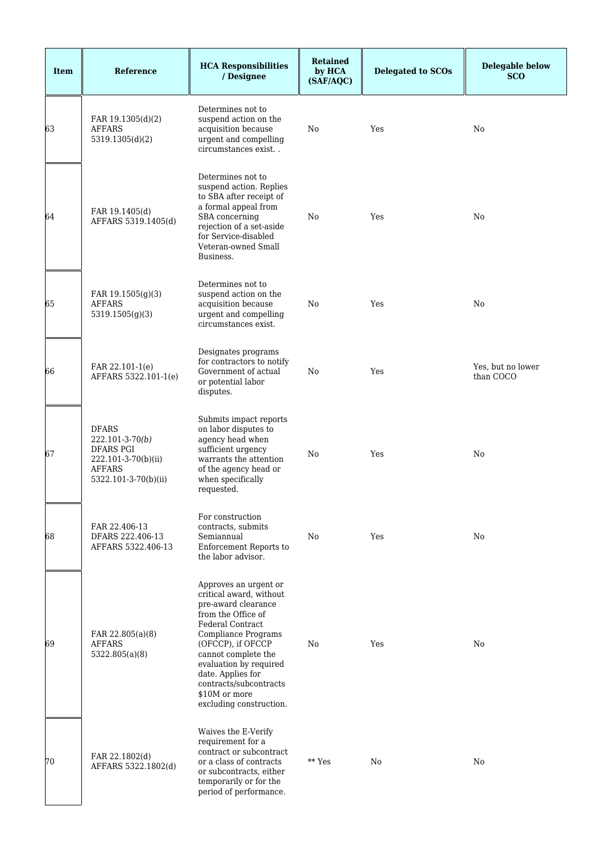| <b>Item</b> | Reference                                                                                                                 | <b>HCA Responsibilities</b><br>/ Designee                                                                                                                                                                                                                                                                 | <b>Retained</b><br>by HCA<br>(SAF/AQC) | <b>Delegated to SCOs</b> | <b>Delegable below</b><br><b>SCO</b> |
|-------------|---------------------------------------------------------------------------------------------------------------------------|-----------------------------------------------------------------------------------------------------------------------------------------------------------------------------------------------------------------------------------------------------------------------------------------------------------|----------------------------------------|--------------------------|--------------------------------------|
| 63          | FAR 19.1305(d)(2)<br><b>AFFARS</b><br>5319.1305(d)(2)                                                                     | Determines not to<br>suspend action on the<br>acquisition because<br>urgent and compelling<br>circumstances exist                                                                                                                                                                                         | No                                     | Yes                      | No                                   |
| 64          | FAR 19.1405(d)<br>AFFARS 5319.1405(d)                                                                                     | Determines not to<br>suspend action. Replies<br>to SBA after receipt of<br>a formal appeal from<br>SBA concerning<br>rejection of a set-aside<br>for Service-disabled<br>Veteran-owned Small<br>Business.                                                                                                 | No                                     | Yes                      | No                                   |
| 65          | FAR 19.1505(g)(3)<br>AFFARS<br>5319.1505(g)(3)                                                                            | Determines not to<br>suspend action on the<br>acquisition because<br>urgent and compelling<br>circumstances exist.                                                                                                                                                                                        | No                                     | Yes                      | No                                   |
| 66          | FAR 22.101-1(e)<br>AFFARS 5322.101-1(e)                                                                                   | Designates programs<br>for contractors to notify<br>Government of actual<br>or potential labor<br>disputes.                                                                                                                                                                                               | No                                     | Yes                      | Yes, but no lower<br>than COCO       |
| 67          | <b>DFARS</b><br>$222.101 - 3 - 70(b)$<br><b>DFARS PGI</b><br>222.101-3-70(b)(ii)<br><b>AFFARS</b><br>5322.101-3-70(b)(ii) | Submits impact reports<br>on labor disputes to<br>agency head when<br>sufficient urgency<br>warrants the attention<br>of the agency head or<br>when specifically<br>requested.                                                                                                                            | No                                     | Yes                      | No                                   |
| 68          | FAR 22.406-13<br>DFARS 222.406-13<br>AFFARS 5322.406-13                                                                   | For construction<br>contracts, submits<br>Semiannual<br>Enforcement Reports to<br>the labor advisor.                                                                                                                                                                                                      | No                                     | Yes                      | No                                   |
| 69          | FAR 22.805(a)(8)<br>AFFARS<br>5322.805(a)(8)                                                                              | Approves an urgent or<br>critical award, without<br>pre-award clearance<br>from the Office of<br>Federal Contract<br>Compliance Programs<br>(OFCCP), if OFCCP<br>cannot complete the<br>evaluation by required<br>date. Applies for<br>contracts/subcontracts<br>\$10M or more<br>excluding construction. | No                                     | Yes                      | No                                   |
| 70          | FAR 22.1802(d)<br>AFFARS 5322.1802(d)                                                                                     | Waives the E-Verify<br>requirement for a<br>contract or subcontract<br>or a class of contracts<br>or subcontracts, either<br>temporarily or for the<br>period of performance.                                                                                                                             | ** Yes                                 | No                       | No                                   |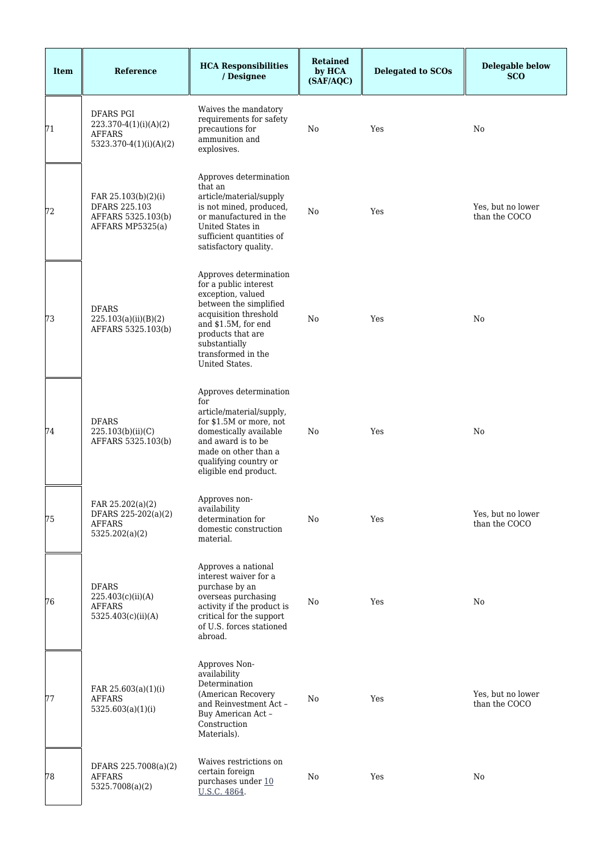| <b>Item</b> | Reference                                                                            | <b>HCA Responsibilities</b><br>/ Designee                                                                                                                                                                                    | <b>Retained</b><br>by HCA<br>(SAF/AQC) | <b>Delegated to SCOs</b> | <b>Delegable below</b><br><b>SCO</b> |
|-------------|--------------------------------------------------------------------------------------|------------------------------------------------------------------------------------------------------------------------------------------------------------------------------------------------------------------------------|----------------------------------------|--------------------------|--------------------------------------|
| 71          | <b>DFARS PGI</b><br>223.370-4(1)(i)(A)(2)<br><b>AFFARS</b><br>5323.370-4(1)(i)(A)(2) | Waives the mandatory<br>requirements for safety<br>precautions for<br>ammunition and<br>explosives.                                                                                                                          | No                                     | Yes                      | No                                   |
| 72          | FAR 25.103(b)(2)(i)<br>DFARS 225.103<br>AFFARS 5325.103(b)<br>AFFARS MP5325(a)       | Approves determination<br>that an<br>article/material/supply<br>is not mined, produced,<br>or manufactured in the<br>United States in<br>sufficient quantities of<br>satisfactory quality.                                   | No                                     | Yes                      | Yes, but no lower<br>than the COCO   |
| 73          | <b>DFARS</b><br>225.103(a)(ii)(B)(2)<br>AFFARS 5325.103(b)                           | Approves determination<br>for a public interest<br>exception, valued<br>between the simplified<br>acquisition threshold<br>and \$1.5M, for end<br>products that are<br>substantially<br>transformed in the<br>United States. | No                                     | Yes                      | No                                   |
| 74          | <b>DFARS</b><br>225.103(b)(ii)(C)<br>AFFARS 5325.103(b)                              | Approves determination<br>for<br>article/material/supply,<br>for \$1.5M or more, not<br>domestically available<br>and award is to be<br>made on other than a<br>qualifying country or<br>eligible end product.               | No                                     | Yes                      | No                                   |
| 75          | FAR 25.202(a)(2)<br>DFARS 225-202(a)(2)<br><b>AFFARS</b><br>5325.202(a)(2)           | Approves non-<br>availability<br>determination for<br>domestic construction<br>material.                                                                                                                                     | No                                     | Yes                      | Yes, but no lower<br>than the COCO   |
| 76          | <b>DFARS</b><br>225.403(c)(ii)(A)<br><b>AFFARS</b><br>5325.403(c)(ii)(A)             | Approves a national<br>interest waiver for a<br>purchase by an<br>overseas purchasing<br>activity if the product is<br>critical for the support<br>of U.S. forces stationed<br>abroad.                                       | No                                     | Yes                      | No                                   |
| 77          | FAR 25.603(a)(1)(i)<br><b>AFFARS</b><br>5325.603(a)(1)(i)                            | Approves Non-<br>availability<br>Determination<br>(American Recovery<br>and Reinvestment Act -<br>Buy American Act -<br>Construction<br>Materials).                                                                          | No                                     | Yes                      | Yes, but no lower<br>than the COCO   |
| 78          | DFARS 225.7008(a)(2)<br><b>AFFARS</b><br>5325.7008(a)(2)                             | Waives restrictions on<br>certain foreign<br>purchases under 10<br>U.S.C. 4864.                                                                                                                                              | No                                     | Yes                      | No                                   |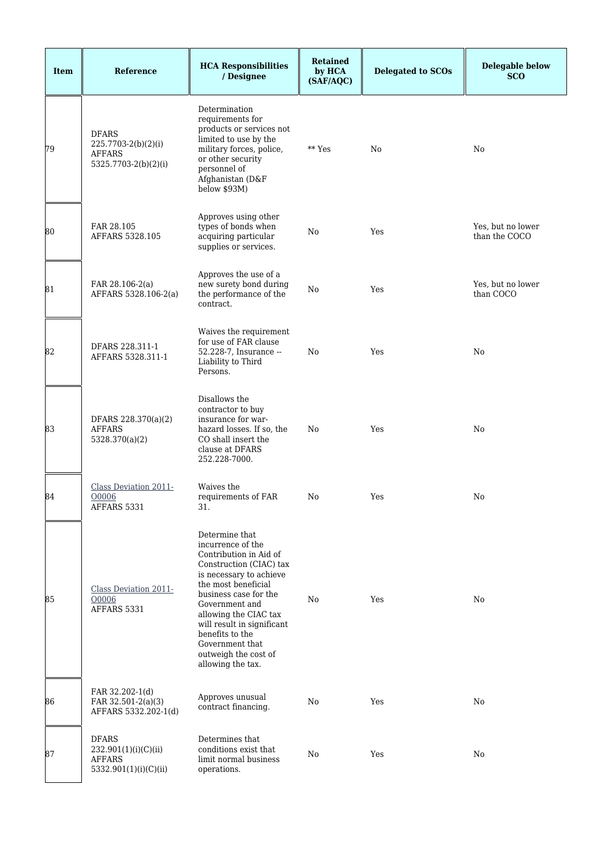| <b>Item</b> | Reference                                                                      | <b>HCA Responsibilities</b><br>/ Designee                                                                                                                                                                                                                                                                                       | <b>Retained</b><br>by HCA<br>(SAF/AQC) | <b>Delegated to SCOs</b> | <b>Delegable below</b><br><b>SCO</b> |
|-------------|--------------------------------------------------------------------------------|---------------------------------------------------------------------------------------------------------------------------------------------------------------------------------------------------------------------------------------------------------------------------------------------------------------------------------|----------------------------------------|--------------------------|--------------------------------------|
| 79          | <b>DFARS</b><br>225.7703-2(b)(2)(i)<br><b>AFFARS</b><br>5325.7703-2(b)(2)(i)   | Determination<br>requirements for<br>products or services not<br>limited to use by the<br>military forces, police,<br>or other security<br>personnel of<br>Afghanistan (D&F<br>below \$93M)                                                                                                                                     | ** Yes                                 | N <sub>0</sub>           | No                                   |
| 80          | FAR 28.105<br>AFFARS 5328.105                                                  | Approves using other<br>types of bonds when<br>acquiring particular<br>supplies or services.                                                                                                                                                                                                                                    | No                                     | Yes                      | Yes, but no lower<br>than the COCO   |
| 81          | FAR 28.106-2(a)<br>AFFARS 5328.106-2(a)                                        | Approves the use of a<br>new surety bond during<br>the performance of the<br>contract.                                                                                                                                                                                                                                          | No                                     | Yes                      | Yes, but no lower<br>than COCO       |
| 82          | DFARS 228.311-1<br>AFFARS 5328.311-1                                           | Waives the requirement<br>for use of FAR clause<br>52.228-7, Insurance --<br>Liability to Third<br>Persons.                                                                                                                                                                                                                     | No                                     | Yes                      | No                                   |
| 83          | DFARS 228.370(a)(2)<br><b>AFFARS</b><br>5328.370(a)(2)                         | Disallows the<br>contractor to buy<br>insurance for war-<br>hazard losses. If so, the<br>CO shall insert the<br>clause at DFARS<br>252.228-7000.                                                                                                                                                                                | No                                     | Yes                      | No                                   |
| 84          | <b>Class Deviation 2011-</b><br>00006<br>AFFARS 5331                           | Waives the<br>requirements of FAR<br>31.                                                                                                                                                                                                                                                                                        | No                                     | Yes                      | No                                   |
| 85          | Class Deviation 2011-<br>O0006<br>AFFARS 5331                                  | Determine that<br>incurrence of the<br>Contribution in Aid of<br>Construction (CIAC) tax<br>is necessary to achieve<br>the most beneficial<br>business case for the<br>Government and<br>allowing the CIAC tax<br>will result in significant<br>benefits to the<br>Government that<br>outweigh the cost of<br>allowing the tax. | No                                     | Yes                      | No                                   |
| 86          | FAR 32.202-1(d)<br>FAR 32.501-2(a)(3)<br>AFFARS 5332.202-1(d)                  | Approves unusual<br>contract financing.                                                                                                                                                                                                                                                                                         | No                                     | Yes                      | No                                   |
| 87          | <b>DFARS</b><br>232.901(1)(i)(C)(ii)<br><b>AFFARS</b><br>5332.901(1)(i)(C)(ii) | Determines that<br>conditions exist that<br>limit normal business<br>operations.                                                                                                                                                                                                                                                | No                                     | Yes                      | No                                   |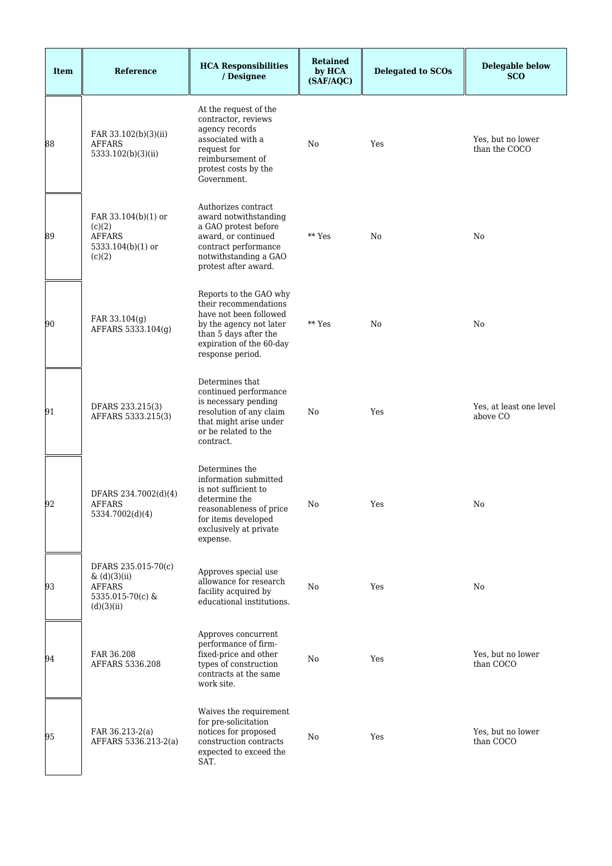| <b>Item</b> | <b>Reference</b>                                                                       | <b>HCA Responsibilities</b><br>/ Designee                                                                                                                                     | <b>Retained</b><br>by HCA<br>(SAF/AQC) | <b>Delegated to SCOs</b> | <b>Delegable below</b><br><b>SCO</b> |
|-------------|----------------------------------------------------------------------------------------|-------------------------------------------------------------------------------------------------------------------------------------------------------------------------------|----------------------------------------|--------------------------|--------------------------------------|
| 88          | FAR 33.102(b)(3)(ii)<br>AFFARS<br>5333.102(b)(3)(ii)                                   | At the request of the<br>contractor, reviews<br>agency records<br>associated with a<br>request for<br>reimbursement of<br>protest costs by the<br>Government.                 | No                                     | Yes                      | Yes, but no lower<br>than the COCO   |
| 89          | FAR 33.104(b)(1) or<br>(c)(2)<br><b>AFFARS</b><br>5333.104(b)(1) or<br>(c)(2)          | Authorizes contract<br>award notwithstanding<br>a GAO protest before<br>award, or continued<br>contract performance<br>notwithstanding a GAO<br>protest after award.          | ** Yes                                 | No                       | No                                   |
| 90          | FAR 33.104(g)<br>AFFARS 5333.104(g)                                                    | Reports to the GAO why<br>their recommendations<br>have not been followed<br>by the agency not later<br>than 5 days after the<br>expiration of the 60-day<br>response period. | ** Yes                                 | N <sub>0</sub>           | No                                   |
| 91          | DFARS 233.215(3)<br>AFFARS 5333.215(3)                                                 | Determines that<br>continued performance<br>is necessary pending<br>resolution of any claim<br>that might arise under<br>or be related to the<br>contract.                    | No                                     | Yes                      | Yes, at least one level<br>above CO  |
| 92          | DFARS 234.7002(d)(4)<br><b>AFFARS</b><br>5334.7002(d)(4)                               | Determines the<br>information submitted<br>is not sufficient to<br>determine the<br>reasonableness of price<br>for items developed<br>exclusively at private<br>expense.      | No                                     | Yes                      | No                                   |
| 93          | DFARS 235.015-70(c)<br>& (d)(3)(ii)<br><b>AFFARS</b><br>5335.015-70(c) &<br>(d)(3)(ii) | Approves special use<br>allowance for research<br>facility acquired by<br>educational institutions.                                                                           | No                                     | Yes                      | No                                   |
| 94          | FAR 36.208<br>AFFARS 5336.208                                                          | Approves concurrent<br>performance of firm-<br>fixed-price and other<br>types of construction<br>contracts at the same<br>work site.                                          | No                                     | Yes                      | Yes, but no lower<br>than COCO       |
| 95          | FAR 36.213-2(a)<br>AFFARS 5336.213-2(a)                                                | Waives the requirement<br>for pre-solicitation<br>notices for proposed<br>construction contracts<br>expected to exceed the<br>SAT.                                            | No                                     | Yes                      | Yes, but no lower<br>than COCO       |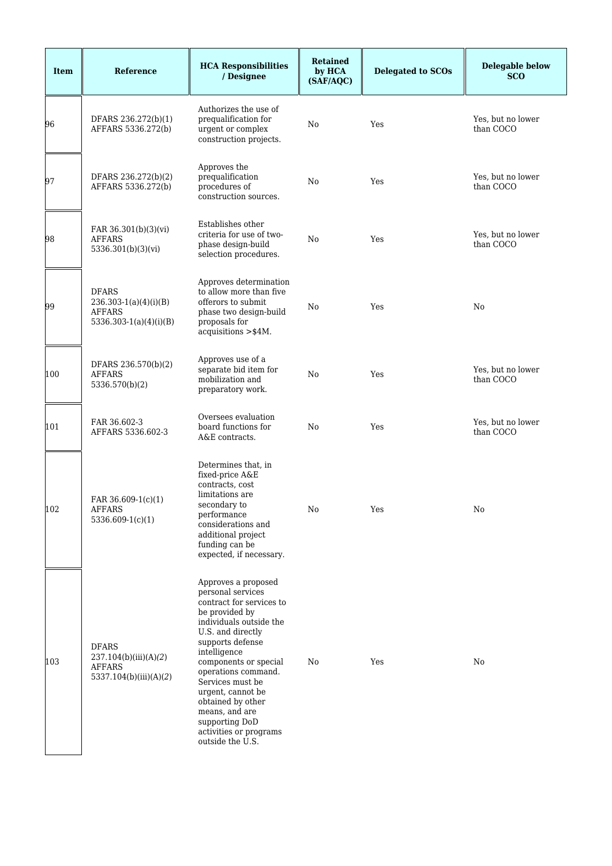| <b>Item</b> | <b>Reference</b>                                                                       | <b>HCA Responsibilities</b><br>/ Designee                                                                                                                                                                                                                                                                                                                                  | <b>Retained</b><br>by HCA<br>(SAF/AQC) | <b>Delegated to SCOs</b> | <b>Delegable below</b><br><b>SCO</b> |
|-------------|----------------------------------------------------------------------------------------|----------------------------------------------------------------------------------------------------------------------------------------------------------------------------------------------------------------------------------------------------------------------------------------------------------------------------------------------------------------------------|----------------------------------------|--------------------------|--------------------------------------|
| 96          | DFARS 236.272(b)(1)<br>AFFARS 5336.272(b)                                              | Authorizes the use of<br>prequalification for<br>urgent or complex<br>construction projects.                                                                                                                                                                                                                                                                               | No                                     | Yes                      | Yes, but no lower<br>than COCO       |
| 97          | DFARS 236.272(b)(2)<br>AFFARS 5336.272(b)                                              | Approves the<br>prequalification<br>procedures of<br>construction sources.                                                                                                                                                                                                                                                                                                 | No                                     | Yes                      | Yes, but no lower<br>than COCO       |
| 98          | FAR 36.301(b)(3)(vi)<br><b>AFFARS</b><br>5336.301(b)(3)(vi)                            | Establishes other<br>criteria for use of two-<br>phase design-build<br>selection procedures.                                                                                                                                                                                                                                                                               | No                                     | Yes                      | Yes, but no lower<br>than COCO       |
| 99          | <b>DFARS</b><br>$236.303 - 1(a)(4)(i)(B)$<br><b>AFFARS</b><br>$5336.303-1(a)(4)(i)(B)$ | Approves determination<br>to allow more than five<br>offerors to submit<br>phase two design-build<br>proposals for<br>acquisitions >\$4M.                                                                                                                                                                                                                                  | No                                     | Yes                      | No                                   |
| 100         | DFARS 236.570(b)(2)<br><b>AFFARS</b><br>5336.570(b)(2)                                 | Approves use of a<br>separate bid item for<br>mobilization and<br>preparatory work.                                                                                                                                                                                                                                                                                        | No                                     | Yes                      | Yes, but no lower<br>than COCO       |
| 101         | FAR 36.602-3<br>AFFARS 5336.602-3                                                      | Oversees evaluation<br>board functions for<br>A&E contracts.                                                                                                                                                                                                                                                                                                               | No                                     | Yes                      | Yes, but no lower<br>than COCO       |
| 102         | FAR $36.609-1(c)(1)$<br>AFFARS<br>$5336.609-1(c)(1)$                                   | Determines that, in<br>fixed-price A&E<br>contracts, cost<br>limitations are<br>secondary to<br>performance<br>considerations and<br>additional project<br>funding can be<br>expected, if necessary.                                                                                                                                                                       | No                                     | Yes                      | No                                   |
| 103         | <b>DFARS</b><br>237.104(b)(iii)(A)(2)<br><b>AFFARS</b><br>5337.104(b)(iii)(A)(2)       | Approves a proposed<br>personal services<br>contract for services to<br>be provided by<br>individuals outside the<br>U.S. and directly<br>supports defense<br>intelligence<br>components or special<br>operations command.<br>Services must be<br>urgent, cannot be<br>obtained by other<br>means, and are<br>supporting DoD<br>activities or programs<br>outside the U.S. | No                                     | Yes                      | No                                   |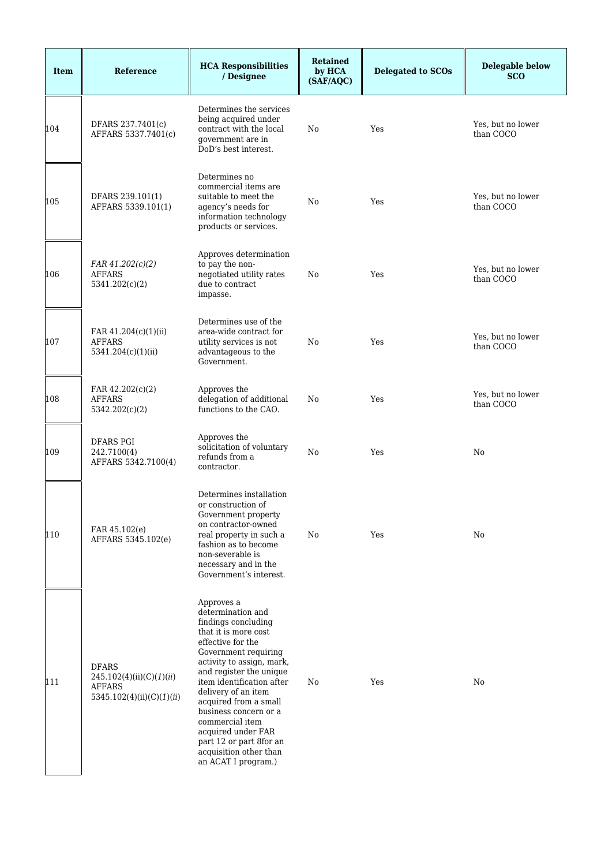| <b>Item</b> | Reference                                                                              | <b>HCA Responsibilities</b><br>/ Designee                                                                                                                                                                                                                                                                                                                                                                      | <b>Retained</b><br>by HCA<br>(SAF/AQC) | <b>Delegated to SCOs</b> | <b>Delegable below</b><br><b>SCO</b> |
|-------------|----------------------------------------------------------------------------------------|----------------------------------------------------------------------------------------------------------------------------------------------------------------------------------------------------------------------------------------------------------------------------------------------------------------------------------------------------------------------------------------------------------------|----------------------------------------|--------------------------|--------------------------------------|
| 104         | DFARS 237.7401(c)<br>AFFARS 5337.7401(c)                                               | Determines the services<br>being acquired under<br>contract with the local<br>government are in<br>DoD's best interest.                                                                                                                                                                                                                                                                                        | No                                     | Yes                      | Yes, but no lower<br>than COCO       |
| 105         | DFARS 239.101(1)<br>AFFARS 5339.101(1)                                                 | Determines no<br>commercial items are<br>suitable to meet the<br>agency's needs for<br>information technology<br>products or services.                                                                                                                                                                                                                                                                         | No                                     | Yes                      | Yes, but no lower<br>than COCO       |
| 106         | FAR 41.202(c)(2)<br><b>AFFARS</b><br>5341.202(c)(2)                                    | Approves determination<br>to pay the non-<br>negotiated utility rates<br>due to contract<br>impasse.                                                                                                                                                                                                                                                                                                           | No                                     | Yes                      | Yes, but no lower<br>than COCO       |
| 107         | FAR 41.204(c)(1)(ii)<br><b>AFFARS</b><br>5341.204(c)(1)(ii)                            | Determines use of the<br>area-wide contract for<br>utility services is not<br>advantageous to the<br>Government.                                                                                                                                                                                                                                                                                               | No                                     | Yes                      | Yes, but no lower<br>than COCO       |
| 108         | FAR 42.202(c)(2)<br><b>AFFARS</b><br>5342.202(c)(2)                                    | Approves the<br>delegation of additional<br>functions to the CAO.                                                                                                                                                                                                                                                                                                                                              | No                                     | Yes                      | Yes, but no lower<br>than COCO       |
| 109         | <b>DFARS PGI</b><br>242.7100(4)<br>AFFARS 5342.7100(4)                                 | Approves the<br>solicitation of voluntary<br>refunds from a<br>contractor.                                                                                                                                                                                                                                                                                                                                     | No                                     | Yes                      | No                                   |
| 110         | FAR 45.102(e)<br>AFFARS 5345.102(e)                                                    | Determines installation<br>or construction of<br>Government property<br>on contractor-owned<br>real property in such a<br>fashion as to become<br>non-severable is<br>necessary and in the<br>Government's interest.                                                                                                                                                                                           | No                                     | Yes                      | No                                   |
| 111         | <b>DFARS</b><br>245.102(4)(ii)(C)(1)(ii)<br><b>AFFARS</b><br>5345.102(4)(ii)(C)(1)(ii) | Approves a<br>determination and<br>findings concluding<br>that it is more cost<br>effective for the<br>Government requiring<br>activity to assign, mark,<br>and register the unique<br>item identification after<br>delivery of an item<br>acquired from a small<br>business concern or a<br>commercial item<br>acquired under FAR<br>part 12 or part 8for an<br>acquisition other than<br>an ACAT I program.) | No                                     | Yes                      | No                                   |